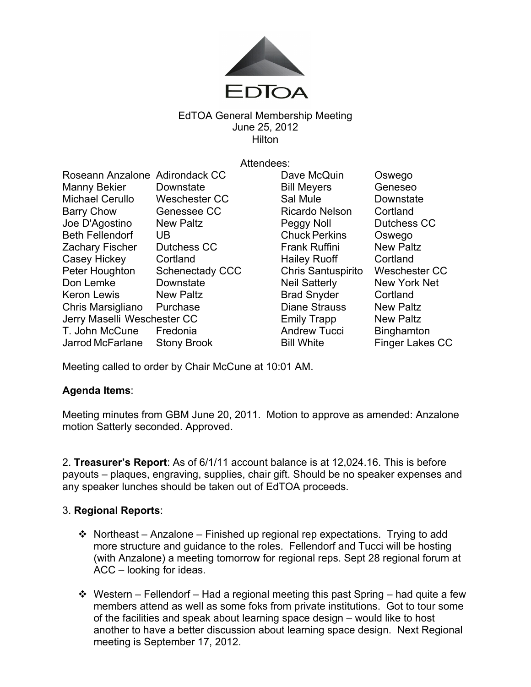

#### EdTOA General Membership Meeting June 25, 2012 **Hilton**

#### Attendees:

| Roseann Anzalone Adirondack CC |                        |
|--------------------------------|------------------------|
| Manny Bekier                   | Downstate              |
| <b>Michael Cerullo</b>         | Weschester CC          |
| <b>Barry Chow</b>              | Genessee CC            |
| Joe D'Agostino                 | New Paltz              |
| <b>Beth Fellendorf</b>         | UB                     |
| <b>Zachary Fischer</b>         | Dutchess CC            |
| Casey Hickey                   | Cortland               |
| Peter Houghton                 | <b>Schenectady CCC</b> |
| Don Lemke                      | Downstate              |
| <b>Keron Lewis</b>             | New Paltz              |
| Chris Marsigliano              | Purchase               |
| Jerry Maselli Weschester CC    |                        |
| T. John McCune                 | Fredonia               |
| Jarrod McFarlane               | <b>Stony Brook</b>     |
|                                |                        |

Dave McQuin Oswego Bill Meyers Geneseo Sal Mule Downstate Ricardo Nelson Cortland Peggy Noll Dutchess CC Chuck Perkins Oswego Frank Ruffini New Paltz Hailey Ruoff Cortland Chris Santuspirito Weschester CC Neil Satterly New York Net Brad Snyder Cortland Diane Strauss New Paltz Emily Trapp New Paltz Andrew Tucci Binghamton Bill White Finger Lakes CC

Meeting called to order by Chair McCune at 10:01 AM.

## **Agenda Items**:

Meeting minutes from GBM June 20, 2011. Motion to approve as amended: Anzalone motion Satterly seconded. Approved.

2. **Treasurer's Report**: As of 6/1/11 account balance is at 12,024.16. This is before payouts – plaques, engraving, supplies, chair gift. Should be no speaker expenses and any speaker lunches should be taken out of EdTOA proceeds.

## 3. **Regional Reports**:

- $\div$  Northeast Anzalone Finished up regional rep expectations. Trying to add more structure and guidance to the roles. Fellendorf and Tucci will be hosting (with Anzalone) a meeting tomorrow for regional reps. Sept 28 regional forum at ACC – looking for ideas.
- Western Fellendorf Had a regional meeting this past Spring had quite a few members attend as well as some foks from private institutions. Got to tour some of the facilities and speak about learning space design – would like to host another to have a better discussion about learning space design. Next Regional meeting is September 17, 2012.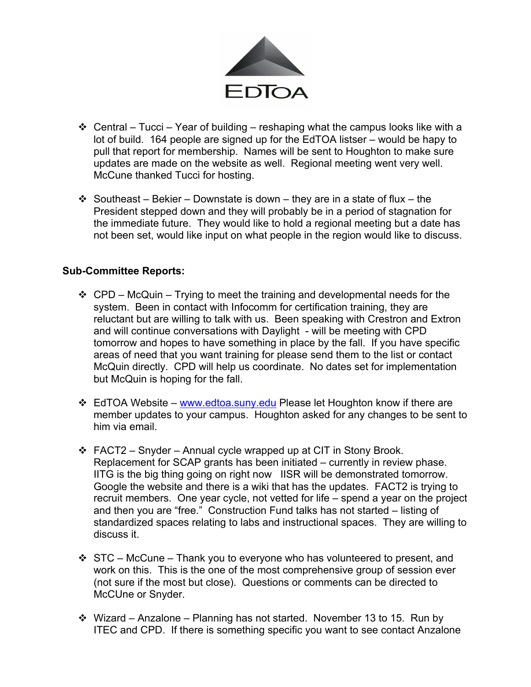

- Central Tucci Year of building reshaping what the campus looks like with a lot of build. 164 people are signed up for the EdTOA listser – would be hapy to pull that report for membership. Names will be sent to Houghton to make sure updates are made on the website as well. Regional meeting went very well. McCune thanked Tucci for hosting.
- Southeast Bekier Downstate is down they are in a state of flux the President stepped down and they will probably be in a period of stagnation for the immediate future. They would like to hold a regional meeting but a date has not been set, would like input on what people in the region would like to discuss.

# **Sub-Committee Reports:**

- $\div$  CPD McQuin Trying to meet the training and developmental needs for the system. Been in contact with Infocomm for certification training, they are reluctant but are willing to talk with us. Been speaking with Crestron and Extron and will continue conversations with Daylight - will be meeting with CPD tomorrow and hopes to have something in place by the fall. If you have specific areas of need that you want training for please send them to the list or contact McQuin directly. CPD will help us coordinate. No dates set for implementation but McQuin is hoping for the fall.
- ❖ EdTOA Website www.edtoa.suny.edu Please let Houghton know if there are member updates to your campus. Houghton asked for any changes to be sent to him via email.
- $\div$  FACT2 Snyder Annual cycle wrapped up at CIT in Stony Brook. Replacement for SCAP grants has been initiated – currently in review phase. IITG is the big thing going on right now IISR will be demonstrated tomorrow. Google the website and there is a wiki that has the updates. FACT2 is trying to recruit members. One year cycle, not vetted for life – spend a year on the project and then you are "free." Construction Fund talks has not started – listing of standardized spaces relating to labs and instructional spaces. They are willing to discuss it.
- $\div$  STC McCune Thank you to everyone who has volunteered to present, and work on this. This is the one of the most comprehensive group of session ever (not sure if the most but close). Questions or comments can be directed to McCUne or Snyder.
- $\cdot$  Wizard Anzalone Planning has not started. November 13 to 15. Run by ITEC and CPD. If there is something specific you want to see contact Anzalone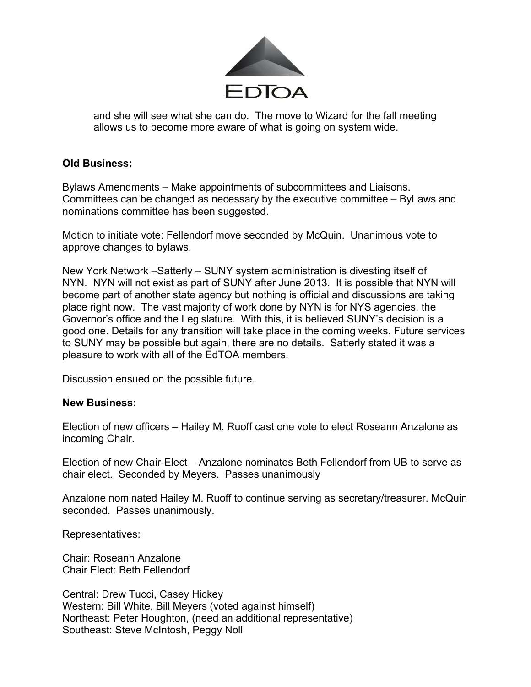

and she will see what she can do. The move to Wizard for the fall meeting allows us to become more aware of what is going on system wide.

## **Old Business:**

Bylaws Amendments – Make appointments of subcommittees and Liaisons. Committees can be changed as necessary by the executive committee – ByLaws and nominations committee has been suggested.

Motion to initiate vote: Fellendorf move seconded by McQuin. Unanimous vote to approve changes to bylaws.

New York Network –Satterly – SUNY system administration is divesting itself of NYN. NYN will not exist as part of SUNY after June 2013. It is possible that NYN will become part of another state agency but nothing is official and discussions are taking place right now. The vast majority of work done by NYN is for NYS agencies, the Governor's office and the Legislature. With this, it is believed SUNY's decision is a good one. Details for any transition will take place in the coming weeks. Future services to SUNY may be possible but again, there are no details. Satterly stated it was a pleasure to work with all of the EdTOA members.

Discussion ensued on the possible future.

## **New Business:**

Election of new officers – Hailey M. Ruoff cast one vote to elect Roseann Anzalone as incoming Chair.

Election of new Chair-Elect – Anzalone nominates Beth Fellendorf from UB to serve as chair elect. Seconded by Meyers. Passes unanimously

Anzalone nominated Hailey M. Ruoff to continue serving as secretary/treasurer. McQuin seconded. Passes unanimously.

Representatives:

Chair: Roseann Anzalone Chair Elect: Beth Fellendorf

Central: Drew Tucci, Casey Hickey Western: Bill White, Bill Meyers (voted against himself) Northeast: Peter Houghton, (need an additional representative) Southeast: Steve McIntosh, Peggy Noll